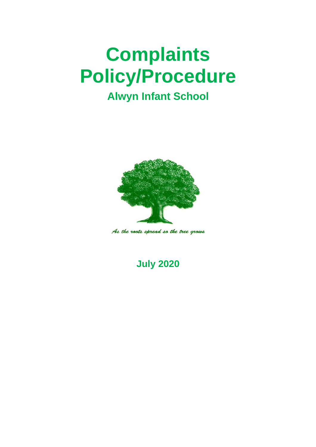# **Complaints Policy/Procedure**

## **Alwyn Infant School**



As the roots spread so the tree grows

**July 2020**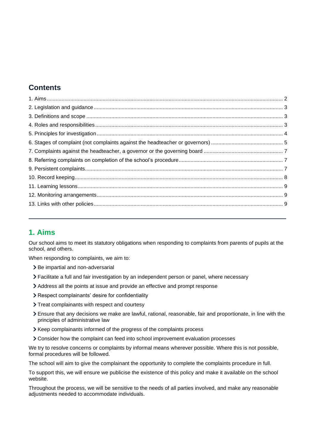## **Contents**

## <span id="page-1-0"></span>**1. Aims**

Our school aims to meet its statutory obligations when responding to complaints from parents of pupils at the school, and others.

When responding to complaints, we aim to:

- > Be impartial and non-adversarial
- Facilitate a full and fair investigation by an independent person or panel, where necessary
- Address all the points at issue and provide an effective and prompt response
- Respect complainants' desire for confidentiality
- > Treat complainants with respect and courtesy
- Ensure that any decisions we make are lawful, rational, reasonable, fair and proportionate, in line with the principles of administrative law
- Xeep complainants informed of the progress of the complaints process
- Consider how the complaint can feed into school improvement evaluation processes

We try to resolve concerns or complaints by informal means wherever possible. Where this is not possible, formal procedures will be followed.

The school will aim to give the complainant the opportunity to complete the complaints procedure in full.

To support this, we will ensure we publicise the existence of this policy and make it available on the school website.

Throughout the process, we will be sensitive to the needs of all parties involved, and make any reasonable adjustments needed to accommodate individuals.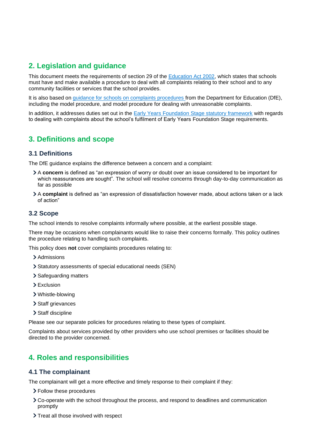## <span id="page-2-0"></span>**2. Legislation and guidance**

This document meets the requirements of section 29 of the [Education Act 2002,](http://www.legislation.gov.uk/ukpga/2002/32/section/29) which states that schools must have and make available a procedure to deal with all complaints relating to their school and to any community facilities or services that the school provides.

It is also based on [guidance for schools on complaints procedures](https://www.gov.uk/government/publications/school-complaints-procedures) from the Department for Education (DfE), including the model procedure, and model procedure for dealing with unreasonable complaints.

In addition, it addresses duties set out in the [Early Years Foundation Stage statutory framework](https://www.gov.uk/government/publications/early-years-foundation-stage-framework--2) with regards to dealing with complaints about the school's fulfilment of Early Years Foundation Stage requirements.

## <span id="page-2-1"></span>**3. Definitions and scope**

#### **3.1 Definitions**

The DfE guidance explains the difference between a concern and a complaint:

- A **concern** is defined as "an expression of worry or doubt over an issue considered to be important for which reassurances are sought". The school will resolve concerns through day-to-day communication as far as possible
- A **complaint** is defined as "an expression of dissatisfaction however made, about actions taken or a lack of action"

#### **3.2 Scope**

The school intends to resolve complaints informally where possible, at the earliest possible stage.

There may be occasions when complainants would like to raise their concerns formally. This policy outlines the procedure relating to handling such complaints.

This policy does **not** cover complaints procedures relating to:

- > Admissions
- Statutory assessments of special educational needs (SEN)
- > Safeguarding matters
- > Exclusion
- Whistle-blowing
- > Staff grievances
- > Staff discipline

Please see our separate policies for procedures relating to these types of complaint.

Complaints about services provided by other providers who use school premises or facilities should be directed to the provider concerned.

## <span id="page-2-2"></span>**4. Roles and responsibilities**

#### **4.1 The complainant**

The complainant will get a more effective and timely response to their complaint if they:

- Follow these procedures
- Co-operate with the school throughout the process, and respond to deadlines and communication promptly
- > Treat all those involved with respect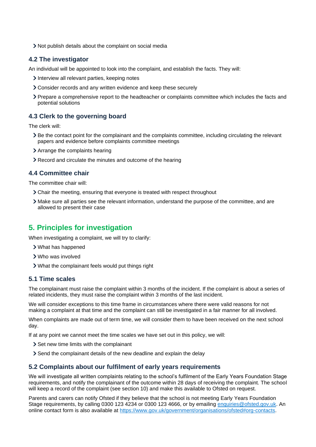Not publish details about the complaint on social media

#### **4.2 The investigator**

An individual will be appointed to look into the complaint, and establish the facts. They will:

- Interview all relevant parties, keeping notes
- Consider records and any written evidence and keep these securely
- Prepare a comprehensive report to the headteacher or complaints committee which includes the facts and potential solutions

#### **4.3 Clerk to the governing board**

The clerk will:

- Be the contact point for the complainant and the complaints committee, including circulating the relevant papers and evidence before complaints committee meetings
- Arrange the complaints hearing
- Record and circulate the minutes and outcome of the hearing

#### **4.4 Committee chair**

The committee chair will:

- Chair the meeting, ensuring that everyone is treated with respect throughout
- Make sure all parties see the relevant information, understand the purpose of the committee, and are allowed to present their case

## <span id="page-3-0"></span>**5. Principles for investigation**

When investigating a complaint, we will try to clarify:

- What has happened
- Who was involved
- What the complainant feels would put things right

#### **5.1 Time scales**

The complainant must raise the complaint within 3 months of the incident. If the complaint is about a series of related incidents, they must raise the complaint within 3 months of the last incident.

We will consider exceptions to this time frame in circumstances where there were valid reasons for not making a complaint at that time and the complaint can still be investigated in a fair manner for all involved.

When complaints are made out of term time, we will consider them to have been received on the next school day.

If at any point we cannot meet the time scales we have set out in this policy, we will:

- Set new time limits with the complainant
- Send the complainant details of the new deadline and explain the delay

#### **5.2 Complaints about our fulfilment of early years requirements**

We will investigate all written complaints relating to the school's fulfilment of the Early Years Foundation Stage requirements, and notify the complainant of the outcome within 28 days of receiving the complaint. The school will keep a record of the complaint (see section 10) and make this available to Ofsted on request.

Parents and carers can notify Ofsted if they believe that the school is not meeting Early Years Foundation Stage requirements, by calling 0300 123 4234 or 0300 123 4666, or by emailing [enquiries@ofsted.gov.uk.](mailto:enquiries@ofsted.gov.uk) An online contact form is also available at [https://www.gov.uk/government/organisations/ofsted#org-contacts.](https://www.gov.uk/government/organisations/ofsted#org-contacts)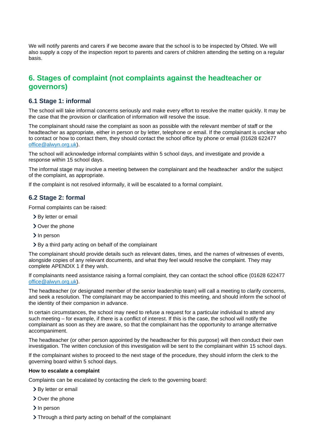We will notify parents and carers if we become aware that the school is to be inspected by Ofsted. We will also supply a copy of the inspection report to parents and carers of children attending the setting on a regular basis.

## <span id="page-4-0"></span>**6. Stages of complaint (not complaints against the headteacher or governors)**

#### **6.1 Stage 1: informal**

The school will take informal concerns seriously and make every effort to resolve the matter quickly. It may be the case that the provision or clarification of information will resolve the issue.

The complainant should raise the complaint as soon as possible with the relevant member of staff or the headteacher as appropriate, either in person or by letter, telephone or email. If the complainant is unclear who to contact or how to contact them, they should contact the school office by phone or email (01628 622477 [office@alwyn.org.uk\)](mailto:office@alwyn.org.uk).

The school will acknowledge informal complaints within 5 school days, and investigate and provide a response within 15 school days.

The informal stage may involve a meeting between the complainant and the headteacher and/or the subject of the complaint, as appropriate.

If the complaint is not resolved informally, it will be escalated to a formal complaint.

#### **6.2 Stage 2: formal**

Formal complaints can be raised:

- > By letter or email
- Over the phone
- > In person
- > By a third party acting on behalf of the complainant

The complainant should provide details such as relevant dates, times, and the names of witnesses of events, alongside copies of any relevant documents, and what they feel would resolve the complaint. They may complete APENDIX 1 if they wish.

If complainants need assistance raising a formal complaint, they can contact the school office (01628 622477 [office@alwyn.org.uk\)](mailto:office@alwyn.org.uk).

The headteacher (or designated member of the senior leadership team) will call a meeting to clarify concerns, and seek a resolution. The complainant may be accompanied to this meeting, and should inform the school of the identity of their companion in advance.

In certain circumstances, the school may need to refuse a request for a particular individual to attend any such meeting – for example, if there is a conflict of interest. If this is the case, the school will notify the complainant as soon as they are aware, so that the complainant has the opportunity to arrange alternative accompaniment.

The headteacher (or other person appointed by the headteacher for this purpose) will then conduct their own investigation. The written conclusion of this investigation will be sent to the complainant within 15 school days.

If the complainant wishes to proceed to the next stage of the procedure, they should inform the clerk to the governing board within 5 school days.

#### **How to escalate a complaint**

Complaints can be escalated by contacting the clerk to the governing board:

- > By letter or email
- > Over the phone
- > In person
- Through a third party acting on behalf of the complainant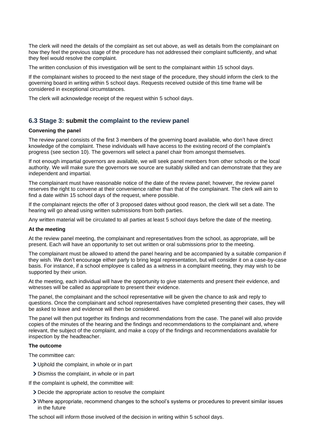The clerk will need the details of the complaint as set out above, as well as details from the complainant on how they feel the previous stage of the procedure has not addressed their complaint sufficiently, and what they feel would resolve the complaint.

The written conclusion of this investigation will be sent to the complainant within 15 school days.

If the complainant wishes to proceed to the next stage of the procedure, they should inform the clerk to the governing board in writing within 5 school days. Requests received outside of this time frame will be considered in exceptional circumstances.

The clerk will acknowledge receipt of the request within 5 school days.

#### **6.3 Stage 3: submit the complaint to the review panel**

#### **Convening the panel**

The review panel consists of the first 3 members of the governing board available, who don't have direct knowledge of the complaint. These individuals will have access to the existing record of the complaint's progress (see section 10). The governors will select a panel chair from amongst themselves.

If not enough impartial governors are available, we will seek panel members from other schools or the local authority. We will make sure the governors we source are suitably skilled and can demonstrate that they are independent and impartial.

The complainant must have reasonable notice of the date of the review panel; however, the review panel reserves the right to convene at their convenience rather than that of the complainant. The clerk will aim to find a date within 15 school days of the request, where possible.

If the complainant rejects the offer of 3 proposed dates without good reason, the clerk will set a date. The hearing will go ahead using written submissions from both parties.

Any written material will be circulated to all parties at least 5 school days before the date of the meeting.

#### **At the meeting**

At the review panel meeting, the complainant and representatives from the school, as appropriate, will be present. Each will have an opportunity to set out written or oral submissions prior to the meeting.

The complainant must be allowed to attend the panel hearing and be accompanied by a suitable companion if they wish. We don't encourage either party to bring legal representation, but will consider it on a case-by-case basis. For instance, if a school employee is called as a witness in a complaint meeting, they may wish to be supported by their union.

At the meeting, each individual will have the opportunity to give statements and present their evidence, and witnesses will be called as appropriate to present their evidence.

The panel, the complainant and the school representative will be given the chance to ask and reply to questions. Once the complainant and school representatives have completed presenting their cases, they will be asked to leave and evidence will then be considered.

The panel will then put together its findings and recommendations from the case. The panel will also provide copies of the minutes of the hearing and the findings and recommendations to the complainant and, where relevant, the subject of the complaint, and make a copy of the findings and recommendations available for inspection by the headteacher.

#### **The outcome**

The committee can:

- Uphold the complaint, in whole or in part
- Dismiss the complaint, in whole or in part

If the complaint is upheld, the committee will:

- Decide the appropriate action to resolve the complaint
- Where appropriate, recommend changes to the school's systems or procedures to prevent similar issues in the future

The school will inform those involved of the decision in writing within 5 school days.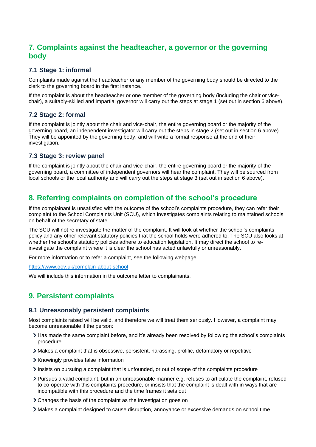## <span id="page-6-0"></span>**7. Complaints against the headteacher, a governor or the governing body**

#### **7.1 Stage 1: informal**

Complaints made against the headteacher or any member of the governing body should be directed to the clerk to the governing board in the first instance.

If the complaint is about the headteacher or one member of the governing body (including the chair or vicechair), a suitably-skilled and impartial governor will carry out the steps at stage 1 (set out in section 6 above).

#### **7.2 Stage 2: formal**

If the complaint is jointly about the chair and vice-chair, the entire governing board or the majority of the governing board, an independent investigator will carry out the steps in stage 2 (set out in section 6 above). They will be appointed by the governing body, and will write a formal response at the end of their investigation.

#### **7.3 Stage 3: review panel**

If the complaint is jointly about the chair and vice-chair, the entire governing board or the majority of the governing board, a committee of independent governors will hear the complaint. They will be sourced from local schools or the local authority and will carry out the steps at stage 3 (set out in section 6 above).

## <span id="page-6-1"></span>**8. Referring complaints on completion of the school's procedure**

If the complainant is unsatisfied with the outcome of the school's complaints procedure, they can refer their complaint to the School Complaints Unit (SCU), which investigates complaints relating to maintained schools on behalf of the secretary of state.

The SCU will not re-investigate the matter of the complaint. It will look at whether the school's complaints policy and any other relevant statutory policies that the school holds were adhered to. The SCU also looks at whether the school's statutory policies adhere to education legislation. It may direct the school to reinvestigate the complaint where it is clear the school has acted unlawfully or unreasonably.

For more information or to refer a complaint, see the following webpage:

<https://www.gov.uk/complain-about-school>

We will include this information in the outcome letter to complainants.

## <span id="page-6-2"></span>**9. Persistent complaints**

#### **9.1 Unreasonably persistent complaints**

Most complaints raised will be valid, and therefore we will treat them seriously. However, a complaint may become unreasonable if the person:

- Has made the same complaint before, and it's already been resolved by following the school's complaints procedure
- Makes a complaint that is obsessive, persistent, harassing, prolific, defamatory or repetitive
- > Knowingly provides false information
- $\sum$  Insists on pursuing a complaint that is unfounded, or out of scope of the complaints procedure
- Pursues a valid complaint, but in an unreasonable manner e.g. refuses to articulate the complaint, refused to co-operate with this complaints procedure, or insists that the complaint is dealt with in ways that are incompatible with this procedure and the time frames it sets out
- Changes the basis of the complaint as the investigation goes on
- Makes a complaint designed to cause disruption, annoyance or excessive demands on school time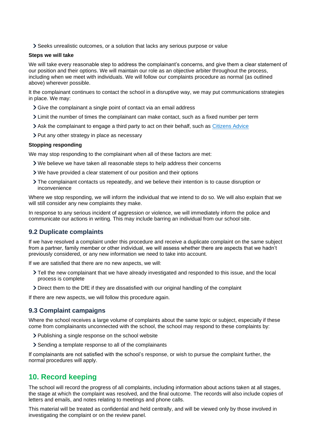Seeks unrealistic outcomes, or a solution that lacks any serious purpose or value

#### **Steps we will take**

We will take every reasonable step to address the complainant's concerns, and give them a clear statement of our position and their options. We will maintain our role as an objective arbiter throughout the process, including when we meet with individuals. We will follow our complaints procedure as normal (as outlined above) wherever possible.

It the complainant continues to contact the school in a disruptive way, we may put communications strategies in place. We may:

- Give the complainant a single point of contact via an email address
- Limit the number of times the complainant can make contact, such as a fixed number per term
- Ask the complainant to engage a third party to act on their behalf, such as [Citizens Advice](https://www.citizensadvice.org.uk/)
- > Put any other strategy in place as necessary

#### **Stopping responding**

We may stop responding to the complainant when all of these factors are met:

- We believe we have taken all reasonable steps to help address their concerns
- We have provided a clear statement of our position and their options
- The complainant contacts us repeatedly, and we believe their intention is to cause disruption or inconvenience

Where we stop responding, we will inform the individual that we intend to do so. We will also explain that we will still consider any new complaints they make.

In response to any serious incident of aggression or violence, we will immediately inform the police and communicate our actions in writing. This may include barring an individual from our school site.

#### **9.2 Duplicate complaints**

If we have resolved a complaint under this procedure and receive a duplicate complaint on the same subject from a partner, family member or other individual, we will assess whether there are aspects that we hadn't previously considered, or any new information we need to take into account.

If we are satisfied that there are no new aspects, we will:

- Tell the new complainant that we have already investigated and responded to this issue, and the local process is complete
- Direct them to the DfE if they are dissatisfied with our original handling of the complaint

If there are new aspects, we will follow this procedure again.

#### **9.3 Complaint campaigns**

Where the school receives a large volume of complaints about the same topic or subject, especially if these come from complainants unconnected with the school, the school may respond to these complaints by:

- > Publishing a single response on the school website
- Sending a template response to all of the complainants

If complainants are not satisfied with the school's response, or wish to pursue the complaint further, the normal procedures will apply.

## <span id="page-7-0"></span>**10. Record keeping**

The school will record the progress of all complaints, including information about actions taken at all stages, the stage at which the complaint was resolved, and the final outcome. The records will also include copies of letters and emails, and notes relating to meetings and phone calls.

This material will be treated as confidential and held centrally, and will be viewed only by those involved in investigating the complaint or on the review panel.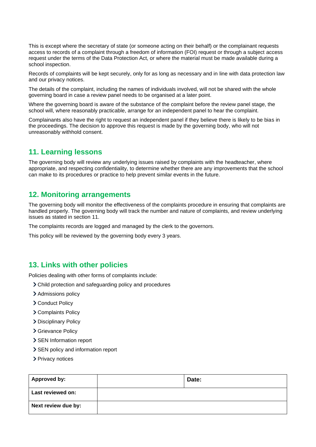This is except where the secretary of state (or someone acting on their behalf) or the complainant requests access to records of a complaint through a freedom of information (FOI) request or through a subject access request under the terms of the Data Protection Act, or where the material must be made available during a school inspection.

Records of complaints will be kept securely, only for as long as necessary and in line with data protection law and our privacy notices.

The details of the complaint, including the names of individuals involved, will not be shared with the whole governing board in case a review panel needs to be organised at a later point.

Where the governing board is aware of the substance of the complaint before the review panel stage, the school will, where reasonably practicable, arrange for an independent panel to hear the complaint.

Complainants also have the right to request an independent panel if they believe there is likely to be bias in the proceedings. The decision to approve this request is made by the governing body, who will not unreasonably withhold consent.

## <span id="page-8-0"></span>**11. Learning lessons**

The governing body will review any underlying issues raised by complaints with the headteacher, where appropriate, and respecting confidentiality, to determine whether there are any improvements that the school can make to its procedures or practice to help prevent similar events in the future.

## <span id="page-8-1"></span>**12. Monitoring arrangements**

The governing body will monitor the effectiveness of the complaints procedure in ensuring that complaints are handled properly. The governing body will track the number and nature of complaints, and review underlying issues as stated in section 11.

The complaints records are logged and managed by the clerk to the governors.

This policy will be reviewed by the governing body every 3 years.

## <span id="page-8-2"></span>**13. Links with other policies**

Policies dealing with other forms of complaints include:

- Child protection and safeguarding policy and procedures
- > Admissions policy
- > Conduct Policy
- > Complaints Policy
- > Disciplinary Policy
- > Grievance Policy
- > SEN Information report
- > SEN policy and information report
- > Privacy notices

| <b>Approved by:</b> | Date: |
|---------------------|-------|
| Last reviewed on:   |       |
| Next review due by: |       |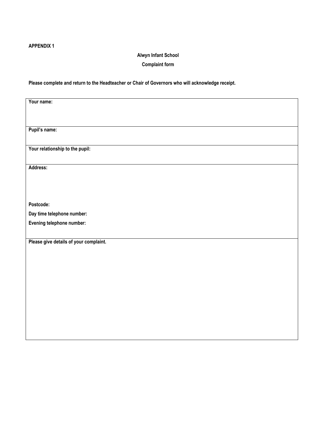#### **APPENDIX 1**

#### **Alwyn Infant School**

#### **Complaint form**

#### **Please complete and return to the Headteacher or Chair of Governors who will acknowledge receipt.**

| Your name:                             |
|----------------------------------------|
|                                        |
|                                        |
|                                        |
| Pupil's name:                          |
|                                        |
| Your relationship to the pupil:        |
|                                        |
|                                        |
| Address:                               |
|                                        |
|                                        |
|                                        |
|                                        |
| Postcode:                              |
| Day time telephone number:             |
| Evening telephone number:              |
|                                        |
|                                        |
| Please give details of your complaint. |
|                                        |
|                                        |
|                                        |
|                                        |
|                                        |
|                                        |
|                                        |
|                                        |
|                                        |
|                                        |
|                                        |
|                                        |
|                                        |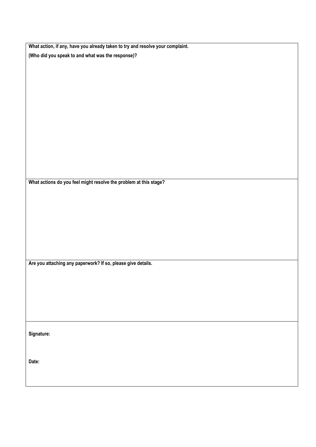| What action, if any, have you already taken to try and resolve your complaint. |
|--------------------------------------------------------------------------------|
| (Who did you speak to and what was the response)?                              |

**What actions do you feel might resolve the problem at this stage?**

**Are you attaching any paperwork? If so, please give details.**

**Signature:**

**Date:**